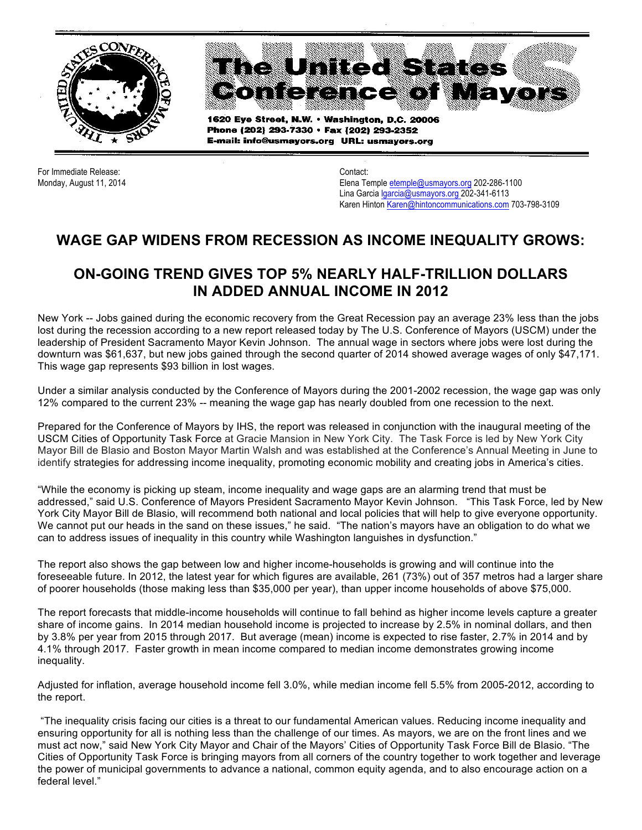

For Immediate Release: Contact:

Monday, August 11, 2014 **Elena Temple etemple@usmayors.org 202-286-1100** Lina Garcia Igarcia@usmayors.org 202-341-6113 Karen Hinton Karen@hintoncommunications.com 703-798-3109

## **WAGE GAP WIDENS FROM RECESSION AS INCOME INEQUALITY GROWS:**

## **ON-GOING TREND GIVES TOP 5% NEARLY HALF-TRILLION DOLLARS IN ADDED ANNUAL INCOME IN 2012**

New York -- Jobs gained during the economic recovery from the Great Recession pay an average 23% less than the jobs lost during the recession according to a new report released today by The U.S. Conference of Mayors (USCM) under the leadership of President Sacramento Mayor Kevin Johnson. The annual wage in sectors where jobs were lost during the downturn was \$61,637, but new jobs gained through the second quarter of 2014 showed average wages of only \$47,171. This wage gap represents \$93 billion in lost wages.

Under a similar analysis conducted by the Conference of Mayors during the 2001-2002 recession, the wage gap was only 12% compared to the current 23% -- meaning the wage gap has nearly doubled from one recession to the next.

Prepared for the Conference of Mayors by IHS, the report was released in conjunction with the inaugural meeting of the USCM Cities of Opportunity Task Force at Gracie Mansion in New York City. The Task Force is led by New York City Mayor Bill de Blasio and Boston Mayor Martin Walsh and was established at the Conference's Annual Meeting in June to identify strategies for addressing income inequality, promoting economic mobility and creating jobs in America's cities.

"While the economy is picking up steam, income inequality and wage gaps are an alarming trend that must be addressed," said U.S. Conference of Mayors President Sacramento Mayor Kevin Johnson. "This Task Force, led by New York City Mayor Bill de Blasio, will recommend both national and local policies that will help to give everyone opportunity. We cannot put our heads in the sand on these issues," he said. "The nation's mayors have an obligation to do what we can to address issues of inequality in this country while Washington languishes in dysfunction."

The report also shows the gap between low and higher income-households is growing and will continue into the foreseeable future. In 2012, the latest year for which figures are available, 261 (73%) out of 357 metros had a larger share of poorer households (those making less than \$35,000 per year), than upper income households of above \$75,000.

The report forecasts that middle-income households will continue to fall behind as higher income levels capture a greater share of income gains. In 2014 median household income is projected to increase by 2.5% in nominal dollars, and then by 3.8% per year from 2015 through 2017. But average (mean) income is expected to rise faster, 2.7% in 2014 and by 4.1% through 2017. Faster growth in mean income compared to median income demonstrates growing income inequality.

Adjusted for inflation, average household income fell 3.0%, while median income fell 5.5% from 2005-2012, according to the report.

"The inequality crisis facing our cities is a threat to our fundamental American values. Reducing income inequality and ensuring opportunity for all is nothing less than the challenge of our times. As mayors, we are on the front lines and we must act now," said New York City Mayor and Chair of the Mayors' Cities of Opportunity Task Force Bill de Blasio. "The Cities of Opportunity Task Force is bringing mayors from all corners of the country together to work together and leverage the power of municipal governments to advance a national, common equity agenda, and to also encourage action on a federal level."